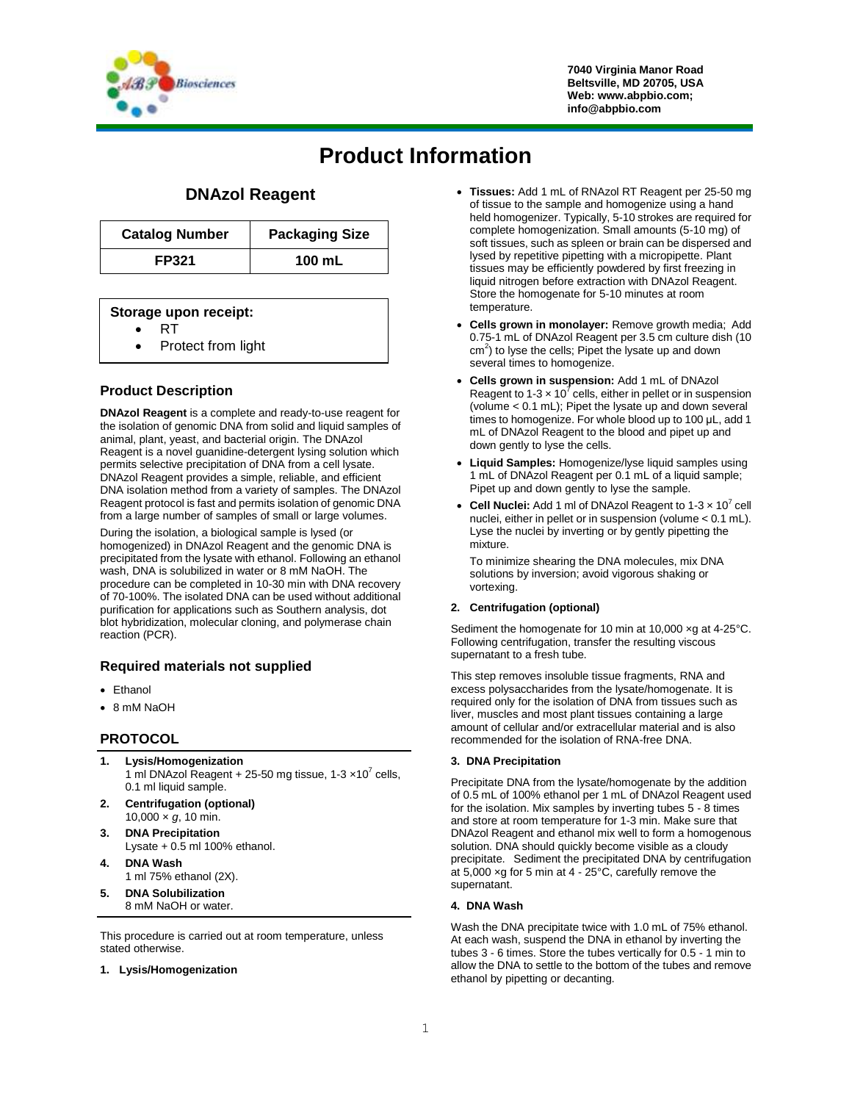

# **Product Information**

# **DNAzol Reagent**

| <b>Catalog Number</b> | <b>Packaging Size</b> |  |
|-----------------------|-----------------------|--|
| <b>FP321</b>          | 100 mL                |  |

### **Storage upon receipt:**

- RT
- Protect from light

# **Product Description**

**DNAzol Reagent** is a complete and ready-to-use reagent for the isolation of genomic DNA from solid and liquid samples of animal, plant, yeast, and bacterial origin. The DNAzol Reagent is a novel guanidine-detergent lysing solution which permits selective precipitation of DNA from a cell lysate. DNAzol Reagent provides a simple, reliable, and efficient DNA isolation method from a variety of samples. The DNAzol Reagent protocol is fast and permits isolation of genomic DNA from a large number of samples of small or large volumes.

During the isolation, a biological sample is lysed (or homogenized) in DNAzol Reagent and the genomic DNA is precipitated from the lysate with ethanol. Following an ethanol wash, DNA is solubilized in water or 8 mM NaOH. The procedure can be completed in 10-30 min with DNA recovery of 70-100%. The isolated DNA can be used without additional purification for applications such as Southern analysis, dot blot hybridization, molecular cloning, and polymerase chain reaction (PCR).

# **Required materials not supplied**

- Ethanol
- 8 mM NaOH

# **PROTOCOL**

- **1. Lysis/Homogenization** 1 ml DNAzol Reagent + 25-50 mg tissue,  $1-3 \times 10^7$  cells, 0.1 ml liquid sample.
- **2. Centrifugation (optional)** 10,000 × *g*, 10 min.
- **3. DNA Precipitation** Lysate  $+0.5$  ml 100% ethanol.
- **4. DNA Wash** 1 ml 75% ethanol (2X).
- **5. DNA Solubilization** 8 mM NaOH or water.

This procedure is carried out at room temperature, unless stated otherwise.

**1. Lysis/Homogenization**

- **Tissues:** Add 1 mL of RNAzol RT Reagent per 25-50 mg of tissue to the sample and homogenize using a hand held homogenizer. Typically, 5-10 strokes are required for complete homogenization. Small amounts (5-10 mg) of soft tissues, such as spleen or brain can be dispersed and lysed by repetitive pipetting with a micropipette. Plant tissues may be efficiently powdered by first freezing in liquid nitrogen before extraction with DNAzol Reagent. Store the homogenate for 5-10 minutes at room temperature.
- **Cells grown in monolayer:** Remove growth media; Add 0.75-1 mL of DNAzol Reagent per 3.5 cm culture dish (10 cm<sup>2</sup>) to lyse the cells; Pipet the lysate up and down several times to homogenize.
- **Cells grown in suspension:** Add 1 mL of DNAzol Reagent to 1-3  $\times$  10<sup>7</sup> cells, either in pellet or in suspension (volume < 0.1 mL); Pipet the lysate up and down several times to homogenize. For whole blood up to 100 μL, add 1 mL of DNAzol Reagent to the blood and pipet up and down gently to lyse the cells.
- **Liquid Samples:** Homogenize/lyse liquid samples using 1 mL of DNAzol Reagent per 0.1 mL of a liquid sample; Pipet up and down gently to lyse the sample.
- Cell Nuclei: Add 1 ml of DNAzol Reagent to 1-3 x 10<sup>7</sup> cell nuclei, either in pellet or in suspension (volume < 0.1 mL). Lyse the nuclei by inverting or by gently pipetting the mixture.

To minimize shearing the DNA molecules, mix DNA solutions by inversion; avoid vigorous shaking or vortexing.

#### **2. Centrifugation (optional)**

Sediment the homogenate for 10 min at 10,000 ×g at 4-25°C. Following centrifugation, transfer the resulting viscous supernatant to a fresh tube.

This step removes insoluble tissue fragments, RNA and excess polysaccharides from the lysate/homogenate. It is required only for the isolation of DNA from tissues such as liver, muscles and most plant tissues containing a large amount of cellular and/or extracellular material and is also recommended for the isolation of RNA-free DNA.

#### **3. DNA Precipitation**

Precipitate DNA from the lysate/homogenate by the addition of 0.5 mL of 100% ethanol per 1 mL of DNAzol Reagent used for the isolation. Mix samples by inverting tubes 5 - 8 times and store at room temperature for 1-3 min. Make sure that DNAzol Reagent and ethanol mix well to form a homogenous solution. DNA should quickly become visible as a cloudy precipitate. Sediment the precipitated DNA by centrifugation at 5,000 ×g for 5 min at 4 - 25°C, carefully remove the supernatant.

#### **4. DNA Wash**

Wash the DNA precipitate twice with 1.0 mL of 75% ethanol. At each wash, suspend the DNA in ethanol by inverting the tubes 3 - 6 times. Store the tubes vertically for 0.5 - 1 min to allow the DNA to settle to the bottom of the tubes and remove ethanol by pipetting or decanting.